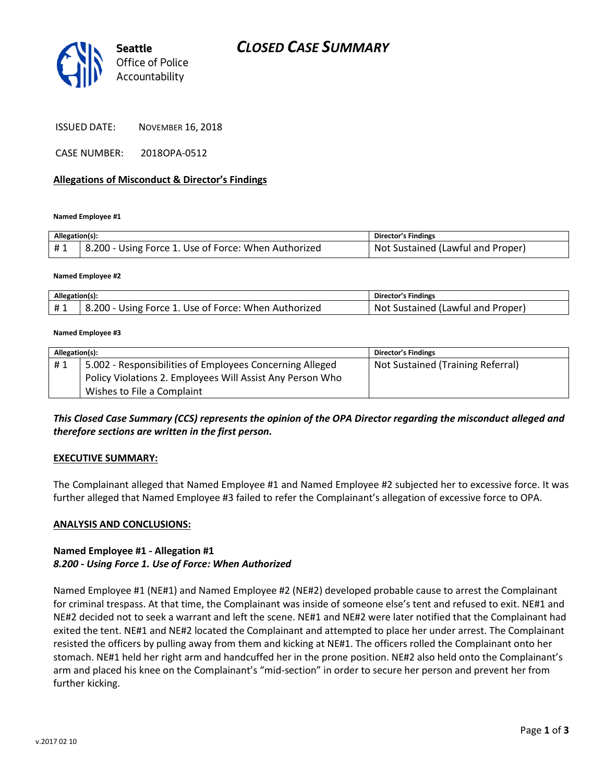

ISSUED DATE: NOVEMBER 16, 2018

CASE NUMBER: 2018OPA-0512

#### **Allegations of Misconduct & Director's Findings**

**Named Employee #1**

| Allegation(s): |                                                                   | Director's Findings               |
|----------------|-------------------------------------------------------------------|-----------------------------------|
| #1             | <sup>1</sup> 8.200 - Using Force 1. Use of Force: When Authorized | Not Sustained (Lawful and Proper) |

#### **Named Employee #2**

| Allegation(s)    |                                                                         | Director's Findings                               |
|------------------|-------------------------------------------------------------------------|---------------------------------------------------|
| <b>H</b> 1<br>ᅟㅠ | - 200.ر<br>. Use of Force: When Authorized<br>: Force 1<br><b>Jsing</b> | . Proper'<br>(Lawful and<br>Sustained<br>.<br>Not |

#### **Named Employee #3**

| Allegation(s): |                                                           | Director's Findings               |
|----------------|-----------------------------------------------------------|-----------------------------------|
| #1             | 5.002 - Responsibilities of Employees Concerning Alleged  | Not Sustained (Training Referral) |
|                | Policy Violations 2. Employees Will Assist Any Person Who |                                   |
|                | Wishes to File a Complaint                                |                                   |

## *This Closed Case Summary (CCS) represents the opinion of the OPA Director regarding the misconduct alleged and therefore sections are written in the first person.*

#### **EXECUTIVE SUMMARY:**

The Complainant alleged that Named Employee #1 and Named Employee #2 subjected her to excessive force. It was further alleged that Named Employee #3 failed to refer the Complainant's allegation of excessive force to OPA.

#### **ANALYSIS AND CONCLUSIONS:**

### **Named Employee #1 - Allegation #1** *8.200 - Using Force 1. Use of Force: When Authorized*

Named Employee #1 (NE#1) and Named Employee #2 (NE#2) developed probable cause to arrest the Complainant for criminal trespass. At that time, the Complainant was inside of someone else's tent and refused to exit. NE#1 and NE#2 decided not to seek a warrant and left the scene. NE#1 and NE#2 were later notified that the Complainant had exited the tent. NE#1 and NE#2 located the Complainant and attempted to place her under arrest. The Complainant resisted the officers by pulling away from them and kicking at NE#1. The officers rolled the Complainant onto her stomach. NE#1 held her right arm and handcuffed her in the prone position. NE#2 also held onto the Complainant's arm and placed his knee on the Complainant's "mid-section" in order to secure her person and prevent her from further kicking.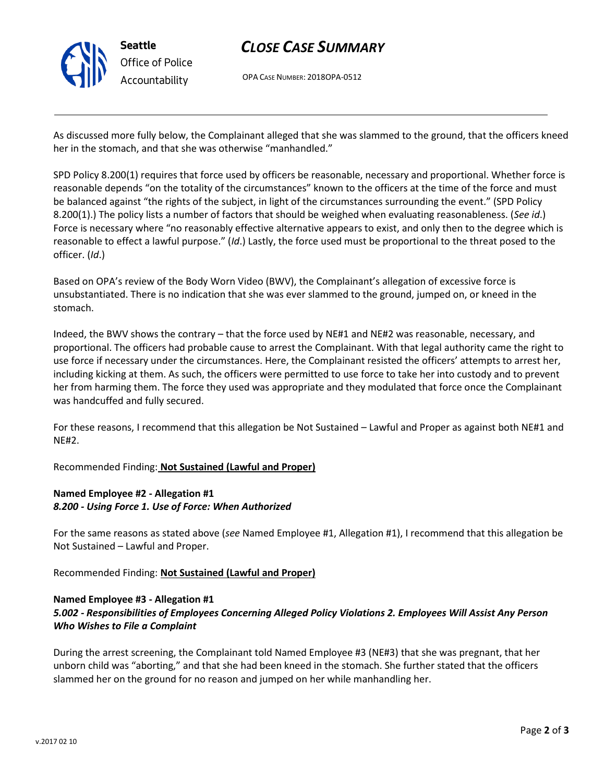

# *CLOSE CASE SUMMARY*

OPA CASE NUMBER: 2018OPA-0512

As discussed more fully below, the Complainant alleged that she was slammed to the ground, that the officers kneed her in the stomach, and that she was otherwise "manhandled."

SPD Policy 8.200(1) requires that force used by officers be reasonable, necessary and proportional. Whether force is reasonable depends "on the totality of the circumstances" known to the officers at the time of the force and must be balanced against "the rights of the subject, in light of the circumstances surrounding the event." (SPD Policy 8.200(1).) The policy lists a number of factors that should be weighed when evaluating reasonableness. (*See id*.) Force is necessary where "no reasonably effective alternative appears to exist, and only then to the degree which is reasonable to effect a lawful purpose." (*Id*.) Lastly, the force used must be proportional to the threat posed to the officer. (*Id*.)

Based on OPA's review of the Body Worn Video (BWV), the Complainant's allegation of excessive force is unsubstantiated. There is no indication that she was ever slammed to the ground, jumped on, or kneed in the stomach.

Indeed, the BWV shows the contrary – that the force used by NE#1 and NE#2 was reasonable, necessary, and proportional. The officers had probable cause to arrest the Complainant. With that legal authority came the right to use force if necessary under the circumstances. Here, the Complainant resisted the officers' attempts to arrest her, including kicking at them. As such, the officers were permitted to use force to take her into custody and to prevent her from harming them. The force they used was appropriate and they modulated that force once the Complainant was handcuffed and fully secured.

For these reasons, I recommend that this allegation be Not Sustained – Lawful and Proper as against both NE#1 and NE#2.

Recommended Finding: **Not Sustained (Lawful and Proper)**

## **Named Employee #2 - Allegation #1** *8.200 - Using Force 1. Use of Force: When Authorized*

For the same reasons as stated above (*see* Named Employee #1, Allegation #1), I recommend that this allegation be Not Sustained – Lawful and Proper.

Recommended Finding: **Not Sustained (Lawful and Proper)**

### **Named Employee #3 - Allegation #1**

# *5.002 - Responsibilities of Employees Concerning Alleged Policy Violations 2. Employees Will Assist Any Person Who Wishes to File a Complaint*

During the arrest screening, the Complainant told Named Employee #3 (NE#3) that she was pregnant, that her unborn child was "aborting," and that she had been kneed in the stomach. She further stated that the officers slammed her on the ground for no reason and jumped on her while manhandling her.